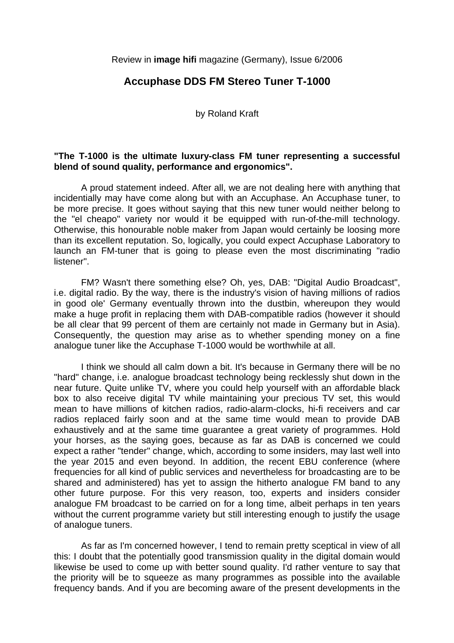Review in **image hifi** magazine (Germany), Issue 6/2006

## **Accuphase DDS FM Stereo Tuner T-1000**

by Roland Kraft

## **"The T-1000 is the ultimate luxury-class FM tuner representing a successful blend of sound quality, performance and ergonomics".**

 A proud statement indeed. After all, we are not dealing here with anything that incidentially may have come along but with an Accuphase. An Accuphase tuner, to be more precise. It goes without saying that this new tuner would neither belong to the "el cheapo" variety nor would it be equipped with run-of-the-mill technology. Otherwise, this honourable noble maker from Japan would certainly be loosing more than its excellent reputation. So, logically, you could expect Accuphase Laboratory to launch an FM-tuner that is going to please even the most discriminating "radio listener".

 FM? Wasn't there something else? Oh, yes, DAB: "Digital Audio Broadcast", i.e. digital radio. By the way, there is the industry's vision of having millions of radios in good ole' Germany eventually thrown into the dustbin, whereupon they would make a huge profit in replacing them with DAB-compatible radios (however it should be all clear that 99 percent of them are certainly not made in Germany but in Asia). Consequently, the question may arise as to whether spending money on a fine analogue tuner like the Accuphase T-1000 would be worthwhile at all.

 I think we should all calm down a bit. It's because in Germany there will be no "hard" change, i.e. analogue broadcast technology being recklessly shut down in the near future. Quite unlike TV, where you could help yourself with an affordable black box to also receive digital TV while maintaining your precious TV set, this would mean to have millions of kitchen radios, radio-alarm-clocks, hi-fi receivers and car radios replaced fairly soon and at the same time would mean to provide DAB exhaustively and at the same time guarantee a great variety of programmes. Hold your horses, as the saying goes, because as far as DAB is concerned we could expect a rather "tender" change, which, according to some insiders, may last well into the year 2015 and even beyond. In addition, the recent EBU conference (where frequencies for all kind of public services and nevertheless for broadcasting are to be shared and administered) has yet to assign the hitherto analogue FM band to any other future purpose. For this very reason, too, experts and insiders consider analogue FM broadcast to be carried on for a long time, albeit perhaps in ten years without the current programme variety but still interesting enough to justify the usage of analogue tuners.

 As far as I'm concerned however, I tend to remain pretty sceptical in view of all this: I doubt that the potentially good transmission quality in the digital domain would likewise be used to come up with better sound quality. I'd rather venture to say that the priority will be to squeeze as many programmes as possible into the available frequency bands. And if you are becoming aware of the present developments in the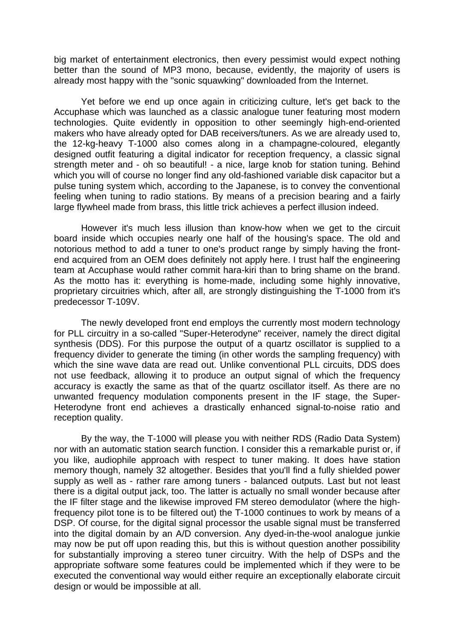big market of entertainment electronics, then every pessimist would expect nothing better than the sound of MP3 mono, because, evidently, the majority of users is already most happy with the "sonic squawking" downloaded from the Internet.

 Yet before we end up once again in criticizing culture, let's get back to the Accuphase which was launched as a classic analogue tuner featuring most modern technologies. Quite evidently in opposition to other seemingly high-end-oriented makers who have already opted for DAB receivers/tuners. As we are already used to, the 12-kg-heavy T-1000 also comes along in a champagne-coloured, elegantly designed outfit featuring a digital indicator for reception frequency, a classic signal strength meter and - oh so beautiful! - a nice, large knob for station tuning. Behind which you will of course no longer find any old-fashioned variable disk capacitor but a pulse tuning system which, according to the Japanese, is to convey the conventional feeling when tuning to radio stations. By means of a precision bearing and a fairly large flywheel made from brass, this little trick achieves a perfect illusion indeed.

 However it's much less illusion than know-how when we get to the circuit board inside which occupies nearly one half of the housing's space. The old and notorious method to add a tuner to one's product range by simply having the frontend acquired from an OEM does definitely not apply here. I trust half the engineering team at Accuphase would rather commit hara-kiri than to bring shame on the brand. As the motto has it: everything is home-made, including some highly innovative, proprietary circuitries which, after all, are strongly distinguishing the T-1000 from it's predecessor T-109V.

 The newly developed front end employs the currently most modern technology for PLL circuitry in a so-called "Super-Heterodyne" receiver, namely the direct digital synthesis (DDS). For this purpose the output of a quartz oscillator is supplied to a frequency divider to generate the timing (in other words the sampling frequency) with which the sine wave data are read out. Unlike conventional PLL circuits, DDS does not use feedback, allowing it to produce an output signal of which the frequency accuracy is exactly the same as that of the quartz oscillator itself. As there are no unwanted frequency modulation components present in the IF stage, the Super-Heterodyne front end achieves a drastically enhanced signal-to-noise ratio and reception quality.

 By the way, the T-1000 will please you with neither RDS (Radio Data System) nor with an automatic station search function. I consider this a remarkable purist or, if you like, audiophile approach with respect to tuner making. It does have station memory though, namely 32 altogether. Besides that you'll find a fully shielded power supply as well as - rather rare among tuners - balanced outputs. Last but not least there is a digital output jack, too. The latter is actually no small wonder because after the IF filter stage and the likewise improved FM stereo demodulator (where the highfrequency pilot tone is to be filtered out) the T-1000 continues to work by means of a DSP. Of course, for the digital signal processor the usable signal must be transferred into the digital domain by an A/D conversion. Any dyed-in-the-wool analogue junkie may now be put off upon reading this, but this is without question another possibility for substantially improving a stereo tuner circuitry. With the help of DSPs and the appropriate software some features could be implemented which if they were to be executed the conventional way would either require an exceptionally elaborate circuit design or would be impossible at all.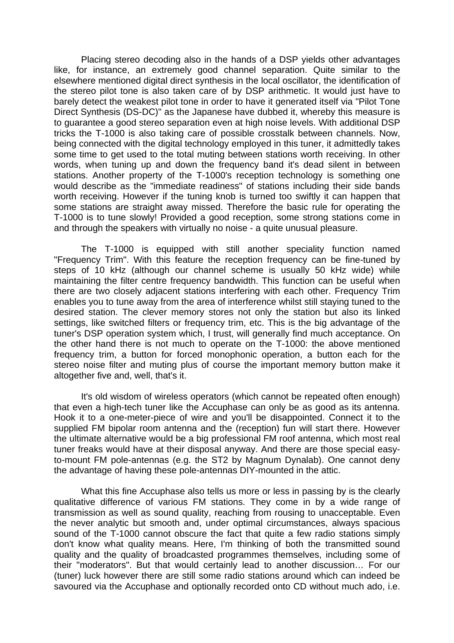Placing stereo decoding also in the hands of a DSP yields other advantages like, for instance, an extremely good channel separation. Quite similar to the elsewhere mentioned digital direct synthesis in the local oscillator, the identification of the stereo pilot tone is also taken care of by DSP arithmetic. It would just have to barely detect the weakest pilot tone in order to have it generated itself via "Pilot Tone Direct Synthesis (DS-DC)" as the Japanese have dubbed it, whereby this measure is to guarantee a good stereo separation even at high noise levels. With additional DSP tricks the T-1000 is also taking care of possible crosstalk between channels. Now, being connected with the digital technology employed in this tuner, it admittedly takes some time to get used to the total muting between stations worth receiving. In other words, when tuning up and down the frequency band it's dead silent in between stations. Another property of the T-1000's reception technology is something one would describe as the "immediate readiness" of stations including their side bands worth receiving. However if the tuning knob is turned too swiftly it can happen that some stations are straight away missed. Therefore the basic rule for operating the T-1000 is to tune slowly! Provided a good reception, some strong stations come in and through the speakers with virtually no noise - a quite unusual pleasure.

 The T-1000 is equipped with still another speciality function named "Frequency Trim". With this feature the reception frequency can be fine-tuned by steps of 10 kHz (although our channel scheme is usually 50 kHz wide) while maintaining the filter centre frequency bandwidth. This function can be useful when there are two closely adjacent stations interfering with each other. Frequency Trim enables you to tune away from the area of interference whilst still staying tuned to the desired station. The clever memory stores not only the station but also its linked settings, like switched filters or frequency trim, etc. This is the big advantage of the tuner's DSP operation system which, I trust, will generally find much acceptance. On the other hand there is not much to operate on the T-1000: the above mentioned frequency trim, a button for forced monophonic operation, a button each for the stereo noise filter and muting plus of course the important memory button make it altogether five and, well, that's it.

 It's old wisdom of wireless operators (which cannot be repeated often enough) that even a high-tech tuner like the Accuphase can only be as good as its antenna. Hook it to a one-meter-piece of wire and you'll be disappointed. Connect it to the supplied FM bipolar room antenna and the (reception) fun will start there. However the ultimate alternative would be a big professional FM roof antenna, which most real tuner freaks would have at their disposal anyway. And there are those special easyto-mount FM pole-antennas (e.g. the ST2 by Magnum Dynalab). One cannot deny the advantage of having these pole-antennas DIY-mounted in the attic.

 What this fine Accuphase also tells us more or less in passing by is the clearly qualitative difference of various FM stations. They come in by a wide range of transmission as well as sound quality, reaching from rousing to unacceptable. Even the never analytic but smooth and, under optimal circumstances, always spacious sound of the T-1000 cannot obscure the fact that quite a few radio stations simply don't know what quality means. Here, I'm thinking of both the transmitted sound quality and the quality of broadcasted programmes themselves, including some of their "moderators". But that would certainly lead to another discussion… For our (tuner) luck however there are still some radio stations around which can indeed be savoured via the Accuphase and optionally recorded onto CD without much ado, i.e.